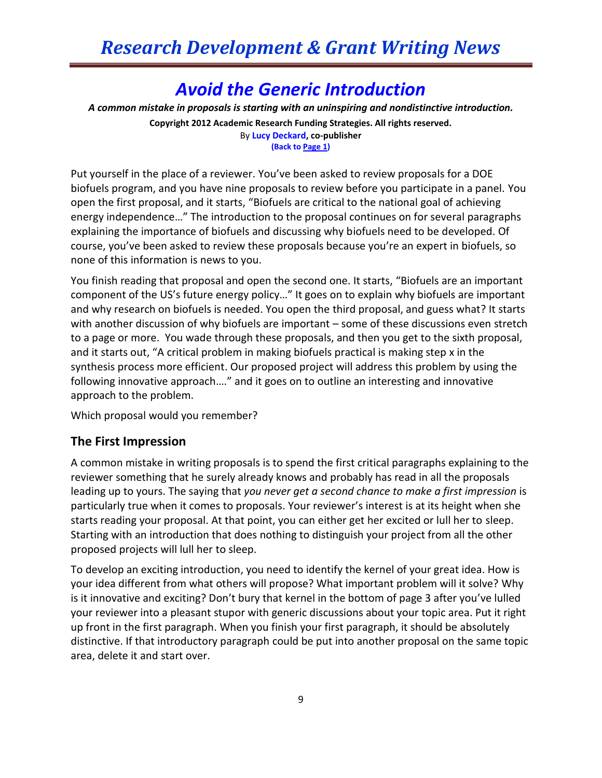## *Avoid the Generic Introduction*

*A common mistake in proposals is starting with an uninspiring and nondistinctive introduction.*

**Copyright 2012 Academic Research Funding Strategies. All rights reserved.**

By **Lucy Deckard, co-publisher (Back to Page 1)**

Put yourself in the place of a reviewer. You've been asked to review proposals for a DOE biofuels program, and you have nine proposals to review before you participate in a panel. You open the first proposal, and it starts, "Biofuels are critical to the national goal of achieving energy independence…" The introduction to the proposal continues on for several paragraphs explaining the importance of biofuels and discussing why biofuels need to be developed. Of course, you've been asked to review these proposals because you're an expert in biofuels, so none of this information is news to you.

You finish reading that proposal and open the second one. It starts, "Biofuels are an important component of the US's future energy policy…" It goes on to explain why biofuels are important and why research on biofuels is needed. You open the third proposal, and guess what? It starts with another discussion of why biofuels are important – some of these discussions even stretch to a page or more. You wade through these proposals, and then you get to the sixth proposal, and it starts out, "A critical problem in making biofuels practical is making step x in the synthesis process more efficient. Our proposed project will address this problem by using the following innovative approach…." and it goes on to outline an interesting and innovative approach to the problem.

Which proposal would you remember?

## **The First Impression**

A common mistake in writing proposals is to spend the first critical paragraphs explaining to the reviewer something that he surely already knows and probably has read in all the proposals leading up to yours. The saying that *you never get a second chance to make a first impression* is particularly true when it comes to proposals. Your reviewer's interest is at its height when she starts reading your proposal. At that point, you can either get her excited or lull her to sleep. Starting with an introduction that does nothing to distinguish your project from all the other proposed projects will lull her to sleep.

To develop an exciting introduction, you need to identify the kernel of your great idea. How is your idea different from what others will propose? What important problem will it solve? Why is it innovative and exciting? Don't bury that kernel in the bottom of page 3 after you've lulled your reviewer into a pleasant stupor with generic discussions about your topic area. Put it right up front in the first paragraph. When you finish your first paragraph, it should be absolutely distinctive. If that introductory paragraph could be put into another proposal on the same topic area, delete it and start over.